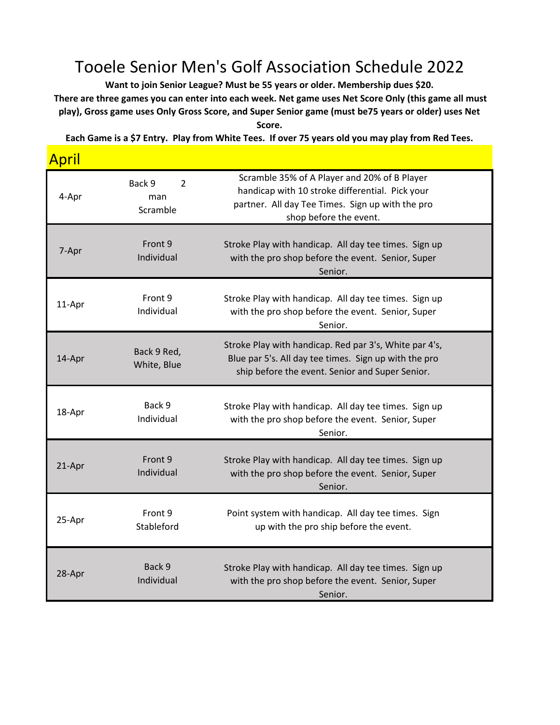## Tooele Senior Men's Golf Association Schedule 2022

**Want to join Senior League? Must be 55 years or older. Membership dues \$20. There are three games you can enter into each week. Net game uses Net Score Only (this game all must play), Gross game uses Only Gross Score, and Super Senior game (must be75 years or older) uses Net Score.** 

**Each Game is a \$7 Entry. Play from White Tees. If over 75 years old you may play from Red Tees.** 

**Anril** 

| <u>'''',</u> |                                |                                                                                                                                                                               |
|--------------|--------------------------------|-------------------------------------------------------------------------------------------------------------------------------------------------------------------------------|
| 4-Apr        | Back 9<br>2<br>man<br>Scramble | Scramble 35% of A Player and 20% of B Player<br>handicap with 10 stroke differential. Pick your<br>partner. All day Tee Times. Sign up with the pro<br>shop before the event. |
| 7-Apr        | Front 9<br>Individual          | Stroke Play with handicap. All day tee times. Sign up<br>with the pro shop before the event. Senior, Super<br>Senior.                                                         |
| 11-Apr       | Front 9<br>Individual          | Stroke Play with handicap. All day tee times. Sign up<br>with the pro shop before the event. Senior, Super<br>Senior.                                                         |
| 14-Apr       | Back 9 Red,<br>White, Blue     | Stroke Play with handicap. Red par 3's, White par 4's,<br>Blue par 5's. All day tee times. Sign up with the pro<br>ship before the event. Senior and Super Senior.            |
| 18-Apr       | Back 9<br>Individual           | Stroke Play with handicap. All day tee times. Sign up<br>with the pro shop before the event. Senior, Super<br>Senior.                                                         |
| 21-Apr       | Front 9<br>Individual          | Stroke Play with handicap. All day tee times. Sign up<br>with the pro shop before the event. Senior, Super<br>Senior.                                                         |
| 25-Apr       | Front 9<br>Stableford          | Point system with handicap. All day tee times. Sign<br>up with the pro ship before the event.                                                                                 |
| 28-Apr       | Back 9<br>Individual           | Stroke Play with handicap. All day tee times. Sign up<br>with the pro shop before the event. Senior, Super<br>Senior.                                                         |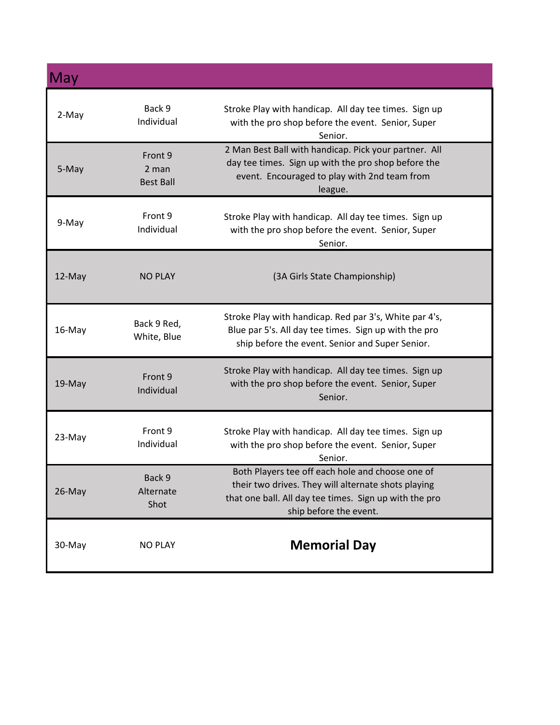| May    |                                      |                                                                                                                                                                                             |
|--------|--------------------------------------|---------------------------------------------------------------------------------------------------------------------------------------------------------------------------------------------|
| 2-May  | Back 9<br>Individual                 | Stroke Play with handicap. All day tee times. Sign up<br>with the pro shop before the event. Senior, Super<br>Senior.                                                                       |
| 5-May  | Front 9<br>2 man<br><b>Best Ball</b> | 2 Man Best Ball with handicap. Pick your partner. All<br>day tee times. Sign up with the pro shop before the<br>event. Encouraged to play with 2nd team from<br>league.                     |
| 9-May  | Front 9<br>Individual                | Stroke Play with handicap. All day tee times. Sign up<br>with the pro shop before the event. Senior, Super<br>Senior.                                                                       |
| 12-May | <b>NO PLAY</b>                       | (3A Girls State Championship)                                                                                                                                                               |
| 16-May | Back 9 Red,<br>White, Blue           | Stroke Play with handicap. Red par 3's, White par 4's,<br>Blue par 5's. All day tee times. Sign up with the pro<br>ship before the event. Senior and Super Senior.                          |
| 19-May | Front 9<br>Individual                | Stroke Play with handicap. All day tee times. Sign up<br>with the pro shop before the event. Senior, Super<br>Senior.                                                                       |
| 23-May | Front 9<br>Individual                | Stroke Play with handicap. All day tee times. Sign up<br>with the pro shop before the event. Senior, Super<br>Senior.                                                                       |
| 26-May | Back 9<br>Alternate<br>Shot          | Both Players tee off each hole and choose one of<br>their two drives. They will alternate shots playing<br>that one ball. All day tee times. Sign up with the pro<br>ship before the event. |
| 30-May | <b>NO PLAY</b>                       | <b>Memorial Day</b>                                                                                                                                                                         |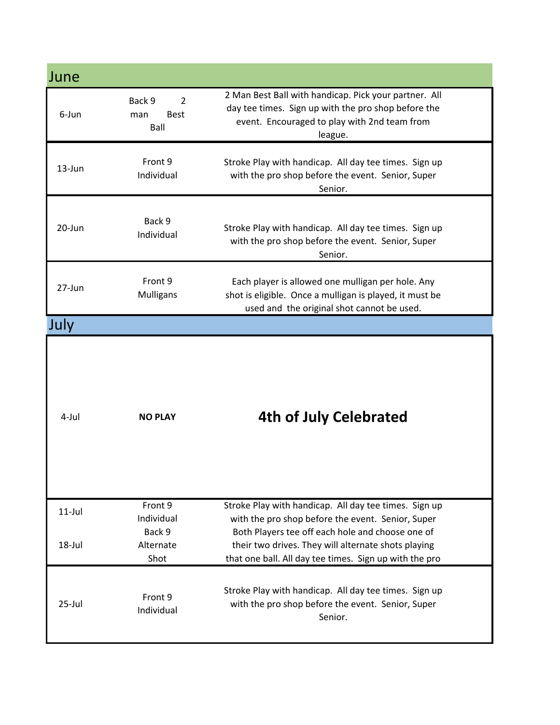| June      |                                                        |                                                                                                                                                                         |
|-----------|--------------------------------------------------------|-------------------------------------------------------------------------------------------------------------------------------------------------------------------------|
| 6-Jun     | $\overline{2}$<br>Back 9<br><b>Best</b><br>man<br>Ball | 2 Man Best Ball with handicap. Pick your partner. All<br>day tee times. Sign up with the pro shop before the<br>event. Encouraged to play with 2nd team from<br>league. |
| 13-Jun    | Front 9<br>Individual                                  | Stroke Play with handicap. All day tee times. Sign up<br>with the pro shop before the event. Senior, Super<br>Senior.                                                   |
| 20-Jun    | Back 9<br>Individual                                   | Stroke Play with handicap. All day tee times. Sign up<br>with the pro shop before the event. Senior, Super<br>Senior.                                                   |
| 27-Jun    | Front 9<br><b>Mulligans</b>                            | Each player is allowed one mulligan per hole. Any<br>shot is eligible. Once a mulligan is played, it must be<br>used and the original shot cannot be used.              |
| July      |                                                        |                                                                                                                                                                         |
| 4-Jul     | <b>NO PLAY</b>                                         | 4th of July Celebrated                                                                                                                                                  |
| $11$ -Jul | Front 9<br>Individual<br>Back 9                        | Stroke Play with handicap. All day tee times. Sign up<br>with the pro shop before the event. Senior, Super                                                              |
| 18-Jul    | Alternate<br>Shot                                      | Both Players tee off each hole and choose one of<br>their two drives. They will alternate shots playing<br>that one ball. All day tee times. Sign up with the pro       |
| $25$ -Jul | Front 9<br>Individual                                  | Stroke Play with handicap. All day tee times. Sign up<br>with the pro shop before the event. Senior, Super<br>Senior.                                                   |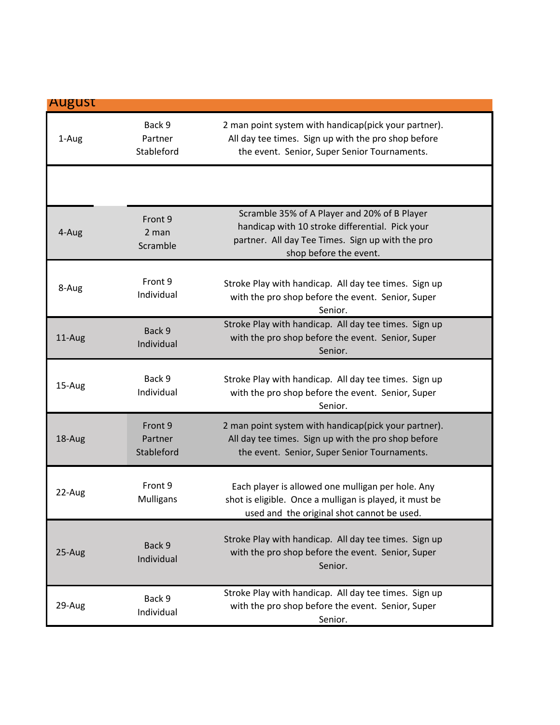| <b>August</b> |                                  |                                                                                                                                                                               |
|---------------|----------------------------------|-------------------------------------------------------------------------------------------------------------------------------------------------------------------------------|
| 1-Aug         | Back 9<br>Partner<br>Stableford  | 2 man point system with handicap(pick your partner).<br>All day tee times. Sign up with the pro shop before<br>the event. Senior, Super Senior Tournaments.                   |
|               |                                  |                                                                                                                                                                               |
| 4-Aug         | Front 9<br>2 man<br>Scramble     | Scramble 35% of A Player and 20% of B Player<br>handicap with 10 stroke differential. Pick your<br>partner. All day Tee Times. Sign up with the pro<br>shop before the event. |
| 8-Aug         | Front 9<br>Individual            | Stroke Play with handicap. All day tee times. Sign up<br>with the pro shop before the event. Senior, Super<br>Senior.                                                         |
| 11-Aug        | Back 9<br>Individual             | Stroke Play with handicap. All day tee times. Sign up<br>with the pro shop before the event. Senior, Super<br>Senior.                                                         |
| 15-Aug        | Back 9<br>Individual             | Stroke Play with handicap. All day tee times. Sign up<br>with the pro shop before the event. Senior, Super<br>Senior.                                                         |
| 18-Aug        | Front 9<br>Partner<br>Stableford | 2 man point system with handicap(pick your partner).<br>All day tee times. Sign up with the pro shop before<br>the event. Senior, Super Senior Tournaments.                   |
| 22-Aug        | Front 9<br>Mulligans             | Each player is allowed one mulligan per hole. Any<br>shot is eligible. Once a mulligan is played, it must be<br>used and the original shot cannot be used.                    |
| 25-Aug        | Back 9<br>Individual             | Stroke Play with handicap. All day tee times. Sign up<br>with the pro shop before the event. Senior, Super<br>Senior.                                                         |
| 29-Aug        | Back 9<br>Individual             | Stroke Play with handicap. All day tee times. Sign up<br>with the pro shop before the event. Senior, Super<br>Senior.                                                         |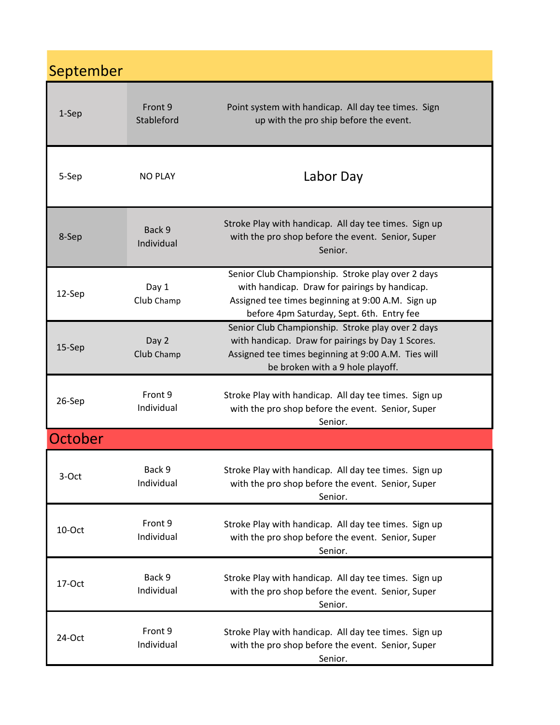## September

| $1-Sep$ | Front 9<br>Stableford | Point system with handicap. All day tee times. Sign<br>up with the pro ship before the event.                                                                                                        |
|---------|-----------------------|------------------------------------------------------------------------------------------------------------------------------------------------------------------------------------------------------|
| 5-Sep   | <b>NO PLAY</b>        | Labor Day                                                                                                                                                                                            |
| 8-Sep   | Back 9<br>Individual  | Stroke Play with handicap. All day tee times. Sign up<br>with the pro shop before the event. Senior, Super<br>Senior.                                                                                |
| 12-Sep  | Day 1<br>Club Champ   | Senior Club Championship. Stroke play over 2 days<br>with handicap. Draw for pairings by handicap.<br>Assigned tee times beginning at 9:00 A.M. Sign up<br>before 4pm Saturday, Sept. 6th. Entry fee |
| 15-Sep  | Day 2<br>Club Champ   | Senior Club Championship. Stroke play over 2 days<br>with handicap. Draw for pairings by Day 1 Scores.<br>Assigned tee times beginning at 9:00 A.M. Ties will<br>be broken with a 9 hole playoff.    |
| 26-Sep  | Front 9<br>Individual | Stroke Play with handicap. All day tee times. Sign up<br>with the pro shop before the event. Senior, Super<br>Senior.                                                                                |
| October |                       |                                                                                                                                                                                                      |
| 3-Oct   | Back 9<br>Individual  | Stroke Play with handicap. All day tee times. Sign up<br>with the pro shop before the event. Senior, Super<br>Senior.                                                                                |
| 10-Oct  | Front 9<br>Individual | Stroke Play with handicap. All day tee times. Sign up<br>with the pro shop before the event. Senior, Super<br>Senior.                                                                                |
| 17-Oct  | Back 9<br>Individual  | Stroke Play with handicap. All day tee times. Sign up<br>with the pro shop before the event. Senior, Super<br>Senior.                                                                                |
| 24-Oct  | Front 9<br>Individual | Stroke Play with handicap. All day tee times. Sign up<br>with the pro shop before the event. Senior, Super<br>Senior.                                                                                |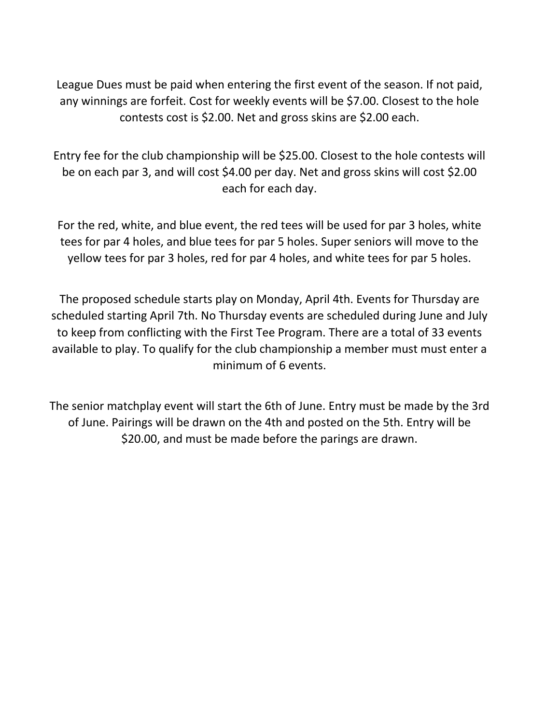League Dues must be paid when entering the first event of the season. If not paid, any winnings are forfeit. Cost for weekly events will be \$7.00. Closest to the hole contests cost is \$2.00. Net and gross skins are \$2.00 each.

Entry fee for the club championship will be \$25.00. Closest to the hole contests will be on each par 3, and will cost \$4.00 per day. Net and gross skins will cost \$2.00 each for each day.

For the red, white, and blue event, the red tees will be used for par 3 holes, white tees for par 4 holes, and blue tees for par 5 holes. Super seniors will move to the yellow tees for par 3 holes, red for par 4 holes, and white tees for par 5 holes.

The proposed schedule starts play on Monday, April 4th. Events for Thursday are scheduled starting April 7th. No Thursday events are scheduled during June and July to keep from conflicting with the First Tee Program. There are a total of 33 events available to play. To qualify for the club championship a member must must enter a minimum of 6 events.

The senior matchplay event will start the 6th of June. Entry must be made by the 3rd of June. Pairings will be drawn on the 4th and posted on the 5th. Entry will be \$20.00, and must be made before the parings are drawn.